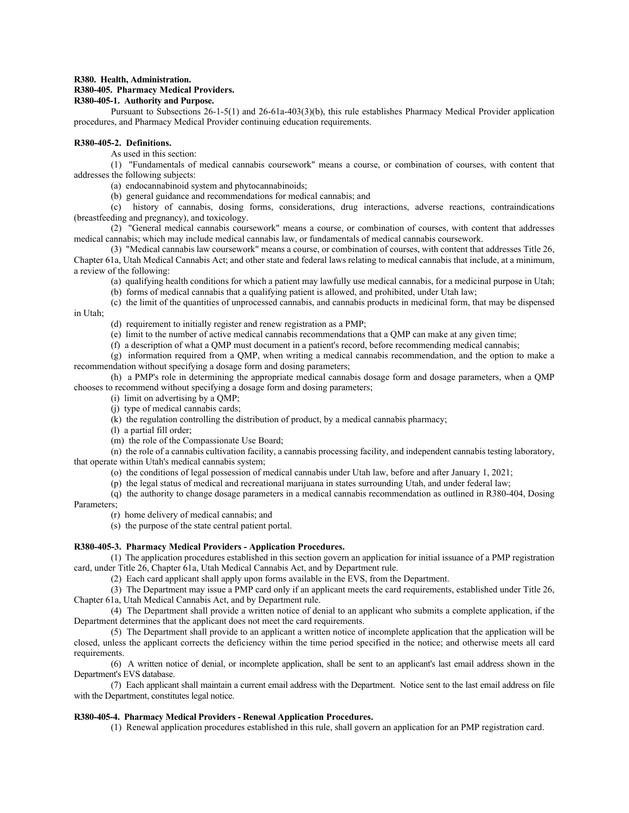#### **R380. Health, Administration.**

## **R380-405. Pharmacy Medical Providers.**

# **R380-405-1. Authority and Purpose.**

Pursuant to Subsections 26-1-5(1) and 26-61a-403(3)(b), this rule establishes Pharmacy Medical Provider application procedures, and Pharmacy Medical Provider continuing education requirements.

# **R380-405-2. Definitions.**

As used in this section:

(1) "Fundamentals of medical cannabis coursework" means a course, or combination of courses, with content that addresses the following subjects:

(a) endocannabinoid system and phytocannabinoids;

(b) general guidance and recommendations for medical cannabis; and

(c) history of cannabis, dosing forms, considerations, drug interactions, adverse reactions, contraindications (breastfeeding and pregnancy), and toxicology.

(2) "General medical cannabis coursework" means a course, or combination of courses, with content that addresses medical cannabis; which may include medical cannabis law, or fundamentals of medical cannabis coursework.

(3) "Medical cannabis law coursework" means a course, or combination of courses, with content that addresses Title 26, Chapter 61a, Utah Medical Cannabis Act; and other state and federal laws relating to medical cannabis that include, at a minimum, a review of the following:

(a) qualifying health conditions for which a patient may lawfully use medical cannabis, for a medicinal purpose in Utah;

(b) forms of medical cannabis that a qualifying patient is allowed, and prohibited, under Utah law;

(c) the limit of the quantities of unprocessed cannabis, and cannabis products in medicinal form, that may be dispensed in Utah;

(d) requirement to initially register and renew registration as a PMP;

(e) limit to the number of active medical cannabis recommendations that a QMP can make at any given time;

(f) a description of what a QMP must document in a patient's record, before recommending medical cannabis;

(g) information required from a QMP, when writing a medical cannabis recommendation, and the option to make a recommendation without specifying a dosage form and dosing parameters;

(h) a PMP's role in determining the appropriate medical cannabis dosage form and dosage parameters, when a QMP chooses to recommend without specifying a dosage form and dosing parameters;

(i) limit on advertising by a QMP;

(j) type of medical cannabis cards;

(k) the regulation controlling the distribution of product, by a medical cannabis pharmacy;

(l) a partial fill order;

(m) the role of the Compassionate Use Board;

(n) the role of a cannabis cultivation facility, a cannabis processing facility, and independent cannabis testing laboratory, that operate within Utah's medical cannabis system;

(o) the conditions of legal possession of medical cannabis under Utah law, before and after January 1, 2021;

(p) the legal status of medical and recreational marijuana in states surrounding Utah, and under federal law;

(q) the authority to change dosage parameters in a medical cannabis recommendation as outlined in R380-404, Dosing

Parameters;

(r) home delivery of medical cannabis; and

(s) the purpose of the state central patient portal.

### **R380-405-3. Pharmacy Medical Providers - Application Procedures.**

(1) The application procedures established in this section govern an application for initial issuance of a PMP registration card, under Title 26, Chapter 61a, Utah Medical Cannabis Act, and by Department rule.

(2) Each card applicant shall apply upon forms available in the EVS, from the Department.

(3) The Department may issue a PMP card only if an applicant meets the card requirements, established under Title 26, Chapter 61a, Utah Medical Cannabis Act, and by Department rule.

(4) The Department shall provide a written notice of denial to an applicant who submits a complete application, if the Department determines that the applicant does not meet the card requirements.

(5) The Department shall provide to an applicant a written notice of incomplete application that the application will be closed, unless the applicant corrects the deficiency within the time period specified in the notice; and otherwise meets all card requirements.

(6) A written notice of denial, or incomplete application, shall be sent to an applicant's last email address shown in the Department's EVS database.

(7) Each applicant shall maintain a current email address with the Department. Notice sent to the last email address on file with the Department, constitutes legal notice.

### **R380-405-4. Pharmacy Medical Providers - Renewal Application Procedures.**

(1) Renewal application procedures established in this rule, shall govern an application for an PMP registration card.